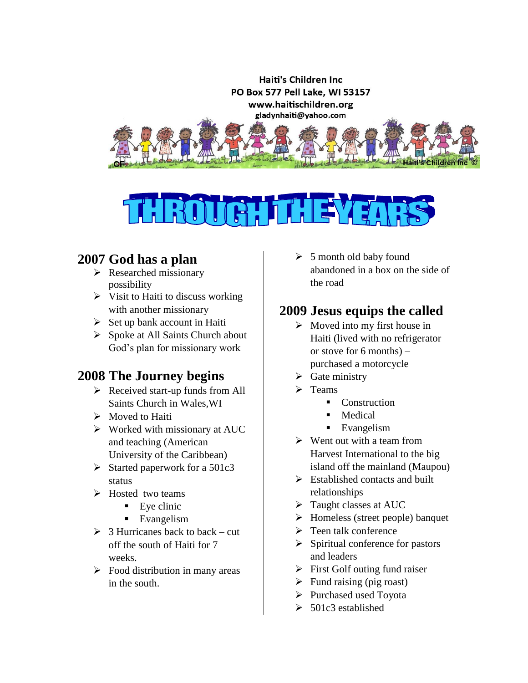



### **2007 God has a plan**

- $\triangleright$  Researched missionary possibility
- $\triangleright$  Visit to Haiti to discuss working with another missionary
- $\triangleright$  Set up bank account in Haiti
- $\triangleright$  Spoke at All Saints Church about God's plan for missionary work

# **2008 The Journey begins**

- $\triangleright$  Received start-up funds from All Saints Church in Wales,WI
- $\triangleright$  Moved to Haiti
- $\triangleright$  Worked with missionary at AUC and teaching (American University of the Caribbean)
- $\triangleright$  Started paperwork for a 501c3 status
- $\triangleright$  Hosted two teams
	- $\blacksquare$  Eye clinic
	- Evangelism
- $\geq 3$  Hurricanes back to back cut off the south of Haiti for 7 weeks.
- $\triangleright$  Food distribution in many areas in the south.

 $\geq 5$  month old baby found abandoned in a box on the side of the road

### **2009 Jesus equips the called**

- $\triangleright$  Moved into my first house in Haiti (lived with no refrigerator or stove for 6 months) – purchased a motorcycle
- $\triangleright$  Gate ministry
- $\triangleright$  Teams
	- Construction
	- **Medical**
	- **Exangelism**
- $\triangleright$  Went out with a team from Harvest International to the big island off the mainland (Maupou)
- $\triangleright$  Established contacts and built relationships
- $\triangleright$  Taught classes at AUC
- $\triangleright$  Homeless (street people) banquet
- $\triangleright$  Teen talk conference
- $\triangleright$  Spiritual conference for pastors and leaders
- $\triangleright$  First Golf outing fund raiser
- $\triangleright$  Fund raising (pig roast)
- $\triangleright$  Purchased used Toyota
- $\geq 501c3$  established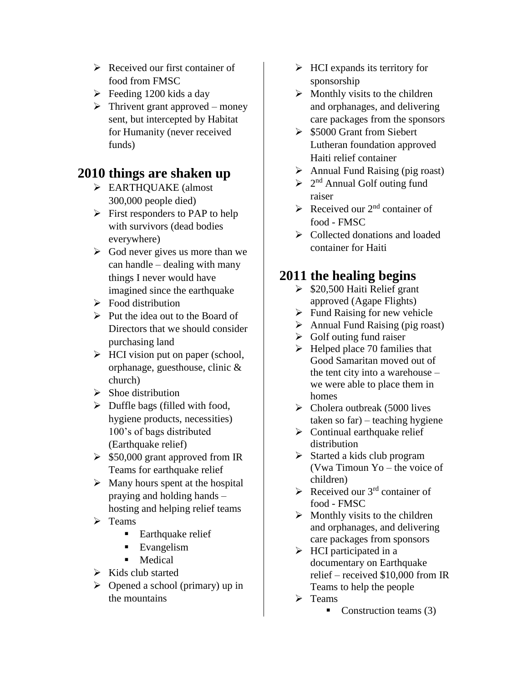- $\triangleright$  Received our first container of food from FMSC
- $\blacktriangleright$  Feeding 1200 kids a day
- $\triangleright$  Thrivent grant approved money sent, but intercepted by Habitat for Humanity (never received funds)

### **2010 things are shaken up**

- EARTHQUAKE (almost 300,000 people died)
- $\triangleright$  First responders to PAP to help with survivors (dead bodies everywhere)
- $\triangleright$  God never gives us more than we can handle – dealing with many things I never would have imagined since the earthquake
- $\triangleright$  Food distribution
- $\triangleright$  Put the idea out to the Board of Directors that we should consider purchasing land
- $\triangleright$  HCI vision put on paper (school, orphanage, guesthouse, clinic & church)
- $\triangleright$  Shoe distribution
- $\triangleright$  Duffle bags (filled with food, hygiene products, necessities) 100's of bags distributed (Earthquake relief)
- $\geq$  \$50,000 grant approved from IR Teams for earthquake relief
- $\triangleright$  Many hours spent at the hospital praying and holding hands – hosting and helping relief teams
- $\triangleright$  Teams
	- Earthquake relief
	- Evangelism
	- **Medical**
- $\triangleright$  Kids club started
- $\triangleright$  Opened a school (primary) up in the mountains
- $\triangleright$  HCI expands its territory for sponsorship
- $\triangleright$  Monthly visits to the children and orphanages, and delivering care packages from the sponsors
- $\geq$  \$5000 Grant from Siebert Lutheran foundation approved Haiti relief container
- $\triangleright$  Annual Fund Raising (pig roast)
- $\geq 2^{nd}$  Annual Golf outing fund raiser
- $\triangleright$  Received our 2<sup>nd</sup> container of food - FMSC
- $\triangleright$  Collected donations and loaded container for Haiti

### **2011 the healing begins**

- $\geq$  \$20,500 Haiti Relief grant approved (Agape Flights)
- $\triangleright$  Fund Raising for new vehicle
- $\triangleright$  Annual Fund Raising (pig roast)
- $\triangleright$  Golf outing fund raiser
- $\blacktriangleright$  Helped place 70 families that Good Samaritan moved out of the tent city into a warehouse – we were able to place them in homes
- $\triangleright$  Cholera outbreak (5000 lives taken so far) – teaching hygiene
- $\triangleright$  Continual earthquake relief distribution
- $\triangleright$  Started a kids club program (Vwa Timoun Yo – the voice of children)
- Received our  $3<sup>rd</sup>$  container of food - FMSC
- $\triangleright$  Monthly visits to the children and orphanages, and delivering care packages from sponsors
- $\triangleright$  HCI participated in a documentary on Earthquake relief – received \$10,000 from IR Teams to help the people
- $\triangleright$  Teams

Construction teams  $(3)$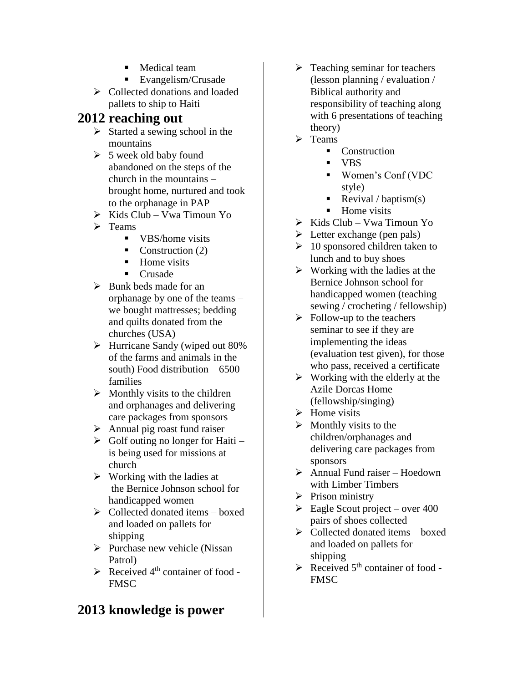- **Medical team**
- Evangelism/Crusade
- $\triangleright$  Collected donations and loaded pallets to ship to Haiti

# **2012 reaching out**

- $\triangleright$  Started a sewing school in the mountains
- $\geq 5$  week old baby found abandoned on the steps of the church in the mountains – brought home, nurtured and took to the orphanage in PAP
- $\triangleright$  Kids Club Vwa Timoun Yo
- $\triangleright$  Teams
	- **VBS/home visits**
	- Construction  $(2)$
	- $\blacksquare$  Home visits
	- Crusade
- $\triangleright$  Bunk beds made for an orphanage by one of the teams – we bought mattresses; bedding and quilts donated from the churches (USA)
- $\blacktriangleright$  Hurricane Sandy (wiped out 80%) of the farms and animals in the south) Food distribution – 6500 families
- $\triangleright$  Monthly visits to the children and orphanages and delivering care packages from sponsors
- $\triangleright$  Annual pig roast fund raiser
- $\triangleright$  Golf outing no longer for Haiti is being used for missions at church
- $\triangleright$  Working with the ladies at the Bernice Johnson school for handicapped women
- $\triangleright$  Collected donated items boxed and loaded on pallets for shipping
- $\triangleright$  Purchase new vehicle (Nissan Patrol)
- $\triangleright$  Received 4<sup>th</sup> container of food -FMSC

### **2013 knowledge is power**

- $\triangleright$  Teaching seminar for teachers (lesson planning / evaluation / Biblical authority and responsibility of teaching along with 6 presentations of teaching theory)
- $\triangleright$  Teams
	- Construction
	- VBS
	- Women's Conf (VDC style)
	- Revival / baptism(s)
	- Home visits
- $\triangleright$  Kids Club Vwa Timoun Yo
- $\triangleright$  Letter exchange (pen pals)
- $\geq 10$  sponsored children taken to lunch and to buy shoes
- $\triangleright$  Working with the ladies at the Bernice Johnson school for handicapped women (teaching sewing / crocheting / fellowship)
- $\triangleright$  Follow-up to the teachers seminar to see if they are implementing the ideas (evaluation test given), for those who pass, received a certificate
- $\triangleright$  Working with the elderly at the Azile Dorcas Home (fellowship/singing)
- $\triangleright$  Home visits
- $\triangleright$  Monthly visits to the children/orphanages and delivering care packages from sponsors
- $\triangleright$  Annual Fund raiser Hoedown with Limber Timbers
- $\triangleright$  Prison ministry
- $\geq$  Eagle Scout project over 400 pairs of shoes collected
- $\triangleright$  Collected donated items boxed and loaded on pallets for shipping
- $\triangleright$  Received 5<sup>th</sup> container of food -FMSC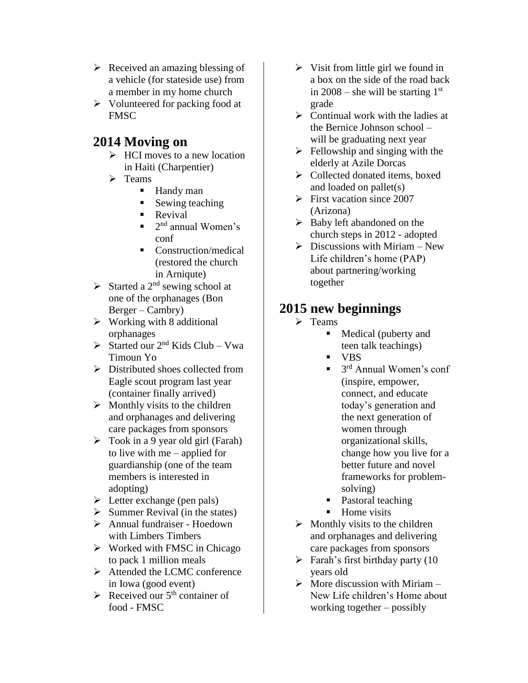- $\triangleright$  Received an amazing blessing of a vehicle (for stateside use) from a member in my home church
- $\triangleright$  Volunteered for packing food at **FMSC**

### **2014 Moving on**

- $\triangleright$  HCI moves to a new location in Haiti (Charpentier)
- $\triangleright$  Teams
	- Handy man
	- Sewing teaching
	- Revival
	- $\blacksquare$  2<sup>nd</sup> annual Women's conf
	- Construction/medical (restored the church in Arniqute)
- $\triangleright$  Started a 2<sup>nd</sup> sewing school at one of the orphanages (Bon Berger – Cambry)
- $\triangleright$  Working with 8 additional orphanages
- $\triangleright$  Started our 2<sup>nd</sup> Kids Club Vwa Timoun Yo
- $\triangleright$  Distributed shoes collected from Eagle scout program last year (container finally arrived)
- $\triangleright$  Monthly visits to the children and orphanages and delivering care packages from sponsors
- $\triangleright$  Took in a 9 year old girl (Farah) to live with me – applied for guardianship (one of the team members is interested in adopting)
- $\triangleright$  Letter exchange (pen pals)
- $\triangleright$  Summer Revival (in the states)
- Annual fundraiser Hoedown with Limbers Timbers
- $\triangleright$  Worked with FMSC in Chicago to pack 1 million meals
- Attended the LCMC conference in Iowa (good event)
- $\triangleright$  Received our 5<sup>th</sup> container of food - FMSC
- $\triangleright$  Visit from little girl we found in a box on the side of the road back in  $2008$  – she will be starting  $1<sup>st</sup>$ grade
- $\triangleright$  Continual work with the ladies at the Bernice Johnson school – will be graduating next year
- $\triangleright$  Fellowship and singing with the elderly at Azile Dorcas
- $\triangleright$  Collected donated items, boxed and loaded on pallet(s)
- $\triangleright$  First vacation since 2007 (Arizona)
- $\triangleright$  Baby left abandoned on the church steps in 2012 - adopted
- $\triangleright$  Discussions with Miriam New Life children's home (PAP) about partnering/working together

### **2015 new beginnings**

- $\triangleright$  Teams
	- Medical (puberty and teen talk teachings)
	- VBS
	- $\blacksquare$  3<sup>rd</sup> Annual Women's conf (inspire, empower, connect, and educate today's generation and the next generation of women through organizational skills, change how you live for a better future and novel frameworks for problemsolving)
	- Pastoral teaching
	- Home visits
- $\triangleright$  Monthly visits to the children and orphanages and delivering care packages from sponsors
- $\triangleright$  Farah's first birthday party (10 years old
- $\triangleright$  More discussion with Miriam New Life children's Home about working together – possibly